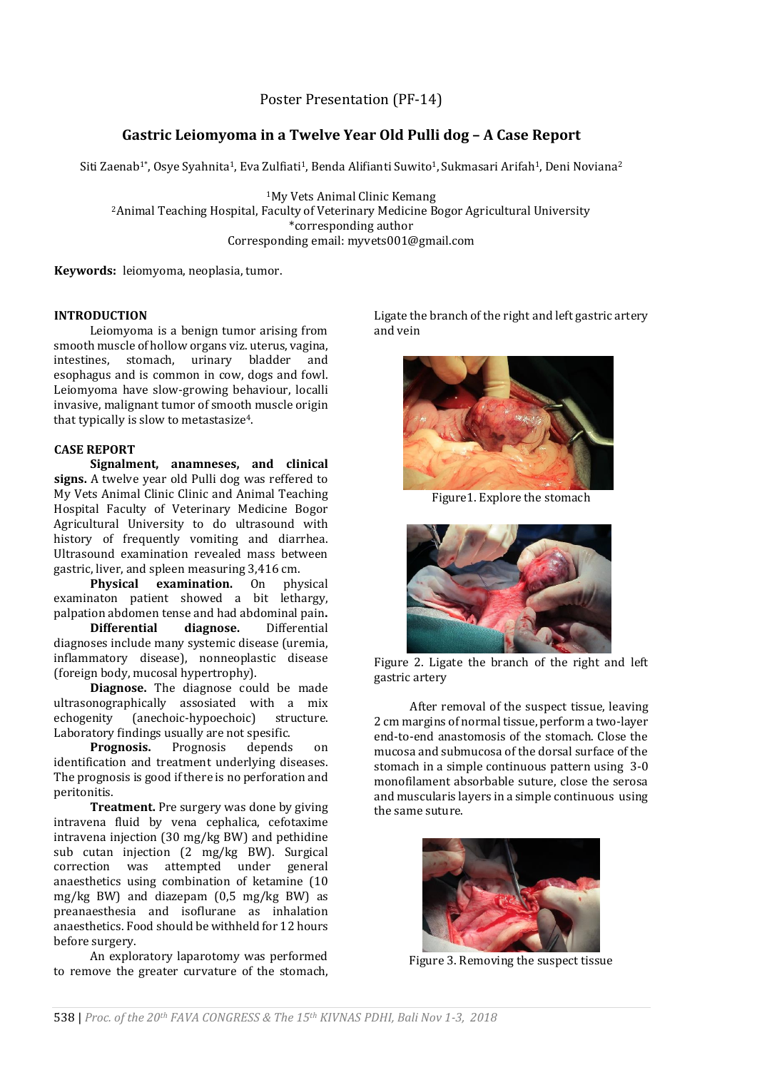# Poster Presentation (PF-14)

# **Gastric Leiomyoma in a Twelve Year Old Pulli dog – A Case Report**

Siti Zaenab<sup>1\*</sup>, Osye Syahnita<sup>1</sup>, Eva Zulfiati<sup>1</sup>, Benda Alifianti Suwito<sup>1</sup>, Sukmasari Arifah<sup>1</sup>, Deni Noviana<sup>2</sup>

<sup>1</sup>My Vets Animal Clinic Kemang <sup>2</sup>Animal Teaching Hospital, Faculty of Veterinary Medicine Bogor Agricultural University \*corresponding author Corresponding email: myvets001@gmail.com

**Keywords:** leiomyoma, neoplasia, tumor.

## **INTRODUCTION**

Leiomyoma is a benign tumor arising from smooth muscle of hollow organs viz. uterus, vagina, intestines, stomach, urinary bladder and esophagus and is common in cow, dogs and fowl. Leiomyoma have slow-growing behaviour, localli invasive, malignant tumor of smooth muscle origin that typically is slow to metastasize4.

## **CASE REPORT**

**Signalment, anamneses, and clinical signs.** A twelve year old Pulli dog was reffered to My Vets Animal Clinic Clinic and Animal Teaching Hospital Faculty of Veterinary Medicine Bogor Agricultural University to do ultrasound with history of frequently vomiting and diarrhea. Ultrasound examination revealed mass between gastric, liver, and spleen measuring 3,416 cm.

**Physical examination.** On physical examinaton patient showed a bit lethargy, palpation abdomen tense and had abdominal pain**.**

**Differential diagnose.** Differential diagnoses include many systemic disease (uremia, inflammatory disease), nonneoplastic disease (foreign body, mucosal hypertrophy).

**Diagnose.** The diagnose could be made ultrasonographically assosiated with a mix echogenity (anechoic-hypoechoic) structure. Laboratory findings usually are not spesific.

**Prognosis.** Prognosis depends on identification and treatment underlying diseases. The prognosis is good if there is no perforation and peritonitis.

**Treatment.** Pre surgery was done by giving intravena fluid by vena cephalica, cefotaxime intravena injection (30 mg/kg BW) and pethidine sub cutan injection (2 mg/kg BW). Surgical correction was attempted under general anaesthetics using combination of ketamine (10 mg/kg BW) and diazepam (0,5 mg/kg BW) as preanaesthesia and isoflurane as inhalation anaesthetics. Food should be withheld for 12 hours before surgery.

An exploratory laparotomy was performed to remove the greater curvature of the stomach, Ligate the branch of the right and left gastric artery and vein

Figure 3. Removing the suspect tissue



Figure1. Explore the stomach

Figure 2. Ligate the branch of the right and left gastric artery

After removal of the suspect tissue, leaving 2 cm margins of normal tissue, perform a two-layer end-to-end anastomosis of the stomach. Close the mucosa and submucosa of the dorsal surface of the stomach in a simple continuous pattern using 3-0 monofilament absorbable suture, close the serosa and muscularis layers in a simple continuous using the same suture.